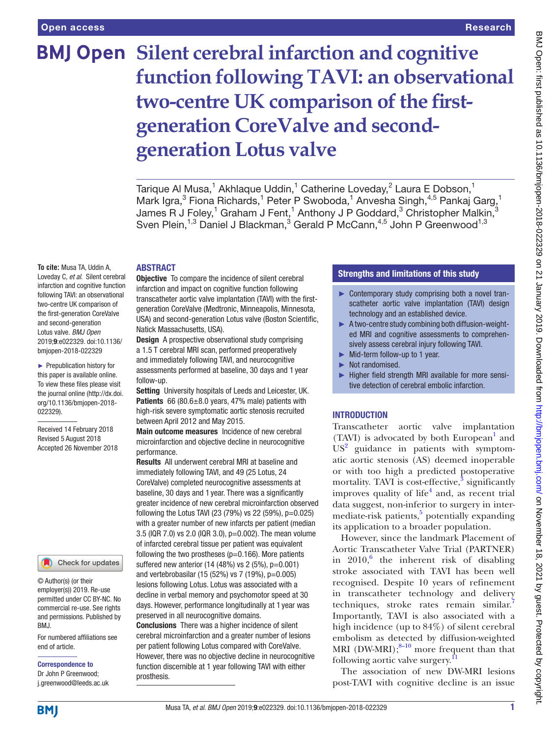# **BMJ Open** Silent cerebral infarction and cognitive **function following TAVI: an observational two-centre UK comparison of the firstgeneration CoreValve and secondgeneration Lotus valve**

Tarique Al Musa,<sup>1</sup> Akhlaque Uddin,<sup>1</sup> Catherine Loveday,<sup>2</sup> Laura E Dobson,<sup>1</sup> Mark Igra,<sup>3</sup> Fiona Richards,<sup>1</sup> Peter P Swoboda,<sup>1</sup> Anvesha Singh,<sup>4,5</sup> Pankaj Garg,<sup>1</sup> James R J Foley,<sup>1</sup> Graham J Fent,<sup>1</sup> Anthony J P Goddard,<sup>3</sup> Christopher Malkin,<sup>3</sup> Sven Plein,<sup>1,3</sup> Daniel J Blackman,<sup>3</sup> Gerald P McCann,<sup>4,5</sup> John P Greenwood<sup>1,3</sup>

#### **ABSTRACT**

**To cite:** Musa TA, Uddin A, Loveday C, *et al*. Silent cerebral infarction and cognitive function following TAVI: an observational two-centre UK comparison of the first-generation CoreValve and second-generation Lotus valve. *BMJ Open* 2019;9:e022329. doi:10.1136/ bmjopen-2018-022329

► Prepublication history for this paper is available online. To view these files please visit the journal online [\(http://dx.doi.](http://dx.doi.org/10.1136/bmjopen-2018-022329) [org/10.1136/bmjopen-2018-](http://dx.doi.org/10.1136/bmjopen-2018-022329) [022329\)](http://dx.doi.org/10.1136/bmjopen-2018-022329).

Received 14 February 2018 Revised 5 August 2018 Accepted 26 November 2018



© Author(s) (or their employer(s)) 2019. Re-use permitted under CC BY-NC. No commercial re-use. See rights and permissions. Published by BMJ.

For numbered affiliations see end of article.

Correspondence to Dr John P Greenwood; j.greenwood@leeds.ac.uk **Objective** To compare the incidence of silent cerebral infarction and impact on cognitive function following transcatheter aortic valve implantation (TAVI) with the firstgeneration CoreValve (Medtronic, Minneapolis, Minnesota, USA) and second-generation Lotus valve (Boston Scientific, Natick Massachusetts, USA).

**Design** A prospective observational study comprising a 1.5 T cerebral MRI scan, performed preoperatively and immediately following TAVI, and neurocognitive assessments performed at baseline, 30 days and 1 year follow-up.

Setting University hospitals of Leeds and Leicester, UK. Patients 66 (80.6±8.0 years, 47% male) patients with high-risk severe symptomatic aortic stenosis recruited between April 2012 and May 2015.

Main outcome measures Incidence of new cerebral microinfarction and objective decline in neurocognitive performance.

Results All underwent cerebral MRI at baseline and immediately following TAVI, and 49 (25 Lotus, 24 CoreValve) completed neurocognitive assessments at baseline, 30 days and 1 year. There was a significantly greater incidence of new cerebral microinfarction observed following the Lotus TAVI (23 (79%) vs 22 (59%), p=0.025) with a greater number of new infarcts per patient (median 3.5 (IQR 7.0) vs 2.0 (IQR 3.0), p=0.002). The mean volume of infarcted cerebral tissue per patient was equivalent following the two prostheses  $(p=0.166)$ . More patients suffered new anterior  $(14 (48%)$  vs 2  $(5%), p=0.001)$ and vertebrobasilar (15 (52%) vs 7 (19%), p=0.005) lesions following Lotus. Lotus was associated with a decline in verbal memory and psychomotor speed at 30 days. However, performance longitudinally at 1 year was preserved in all neurocognitive domains.

Conclusions There was a higher incidence of silent cerebral microinfarction and a greater number of lesions per patient following Lotus compared with CoreValve. However, there was no objective decline in neurocognitive function discernible at 1 year following TAVI with either prosthesis.

#### Strengths and limitations of this study

- ► Contemporary study comprising both a novel transcatheter aortic valve implantation (TAVI) design technology and an established device.
- ► A two-centre study combining both diffusion-weighted MRI and cognitive assessments to comprehensively assess cerebral injury following TAVI.
- ► Mid-term follow-up to 1 year.
- ► Not randomised.
- ► Higher field strength MRI available for more sensitive detection of cerebral embolic infarction.

#### **INTRODUCTION**

Transcatheter aortic valve implantation (TAVI) is advocated by both European<sup>1</sup> and US<sup>[2](#page-8-1)</sup> guidance in patients with symptomatic aortic stenosis (AS) deemed inoperable or with too high a predicted postoperative mortality. TAVI is cost-effective,<sup>[3](#page-8-2)</sup> significantly improves quality of life<sup>[4](#page-8-3)</sup> and, as recent trial data suggest, non-inferior to surgery in inter-mediate-risk patients,<sup>[5](#page-8-4)</sup> potentially expanding its application to a broader population.

However, since the landmark Placement of Aortic Transcatheter Valve Trial (PARTNER) in  $2010$ , the inherent risk of disabling stroke associated with TAVI has been well recognised. Despite 10 years of refinement in transcatheter technology and delivery techniques, stroke rates remain similar.<sup>7</sup> Importantly, TAVI is also associated with a high incidence (up to 84%) of silent cerebral embolism as detected by diffusion-weighted MRI (DW-MRI); $8-10$  more frequent than that following aortic valve surgery.<sup>11</sup>

The association of new DW-MRI lesions post-TAVI with cognitive decline is an issue

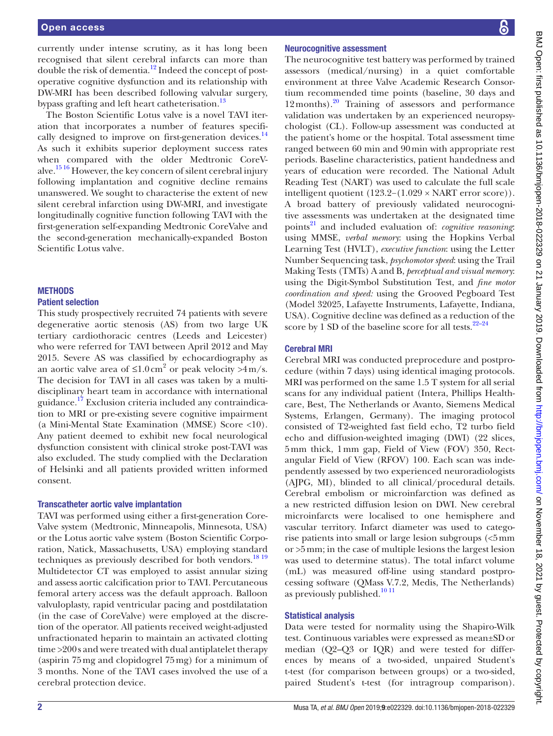currently under intense scrutiny, as it has long been recognised that silent cerebral infarcts can more than double the risk of dementia.<sup>12</sup> Indeed the concept of postoperative cognitive dysfunction and its relationship with DW-MRI has been described following valvular surgery, bypass grafting and left heart catheterisation.<sup>13</sup>

The Boston Scientific Lotus valve is a novel TAVI iteration that incorporates a number of features specifically designed to improve on first-generation devices. $^{14}$ As such it exhibits superior deployment success rates when compared with the older Medtronic CoreValve.[15 16](#page-8-12) However, the key concern of silent cerebral injury following implantation and cognitive decline remains unanswered. We sought to characterise the extent of new silent cerebral infarction using DW-MRI, and investigate longitudinally cognitive function following TAVI with the first-generation self-expanding Medtronic CoreValve and the second-generation mechanically-expanded Boston Scientific Lotus valve.

## **METHODS**

#### Patient selection

This study prospectively recruited 74 patients with severe degenerative aortic stenosis (AS) from two large UK tertiary cardiothoracic centres (Leeds and Leicester) who were referred for TAVI between April 2012 and May 2015. Severe AS was classified by echocardiography as an aortic valve area of  $\leq 1.0 \text{ cm}^2$  or peak velocity >4m/s. The decision for TAVI in all cases was taken by a multidisciplinary heart team in accordance with international guidance.[17](#page-8-13) Exclusion criteria included any contraindication to MRI or pre-existing severe cognitive impairment (a Mini-Mental State Examination (MMSE) Score <10). Any patient deemed to exhibit new focal neurological dysfunction consistent with clinical stroke post-TAVI was also excluded. The study complied with the Declaration of Helsinki and all patients provided written informed consent.

#### Transcatheter aortic valve implantation

TAVI was performed using either a first-generation Core-Valve system (Medtronic, Minneapolis, Minnesota, USA) or the Lotus aortic valve system (Boston Scientific Corporation, Natick, Massachusetts, USA) employing standard techniques as previously described for both vendors.<sup>18 19</sup> Multidetector CT was employed to assist annular sizing and assess aortic calcification prior to TAVI. Percutaneous femoral artery access was the default approach. Balloon valvuloplasty, rapid ventricular pacing and postdilatation (in the case of CoreValve) were employed at the discretion of the operator. All patients received weight-adjusted unfractionated heparin to maintain an activated clotting time >200s and were treated with dual antiplatelet therapy (aspirin 75mg and clopidogrel 75mg) for a minimum of 3 months. None of the TAVI cases involved the use of a cerebral protection device.

#### Neurocognitive assessment

The neurocognitive test battery was performed by trained assessors (medical/nursing) in a quiet comfortable environment at three Valve Academic Research Consortium recommended time points (baseline, 30 days and 12months).[20](#page-8-15) Training of assessors and performance validation was undertaken by an experienced neuropsychologist (CL). Follow-up assessment was conducted at the patient's home or the hospital. Total assessment time ranged between 60 min and 90min with appropriate rest periods. Baseline characteristics, patient handedness and years of education were recorded. The National Adult Reading Test (NART) was used to calculate the full scale intelligent quotient (123.2−(1.029 × NART error score)). A broad battery of previously validated neurocognitive assessments was undertaken at the designated time points[21](#page-8-16) and included evaluation of: *cognitive reasoning*: using MMSE, *verbal memory*: using the Hopkins Verbal Learning Test (HVLT), *executive function*: using the Letter Number Sequencing task, *psychomotor speed*: using the Trail Making Tests (TMTs) A and B, *perceptual and visual memory*: using the Digit-Symbol Substitution Test, and *fine motor coordination and speed:* using the Grooved Pegboard Test (Model 32025, Lafayette Instruments, Lafayette, Indiana, USA). Cognitive decline was defined as a reduction of the score by 1 SD of the baseline score for all tests. $22-24$ 

#### Cerebral MRI

Cerebral MRI was conducted preprocedure and postprocedure (within 7 days) using identical imaging protocols. MRI was performed on the same 1.5 T system for all serial scans for any individual patient (Intera, Phillips Healthcare, Best, The Netherlands or Avanto, Siemens Medical Systems, Erlangen, Germany). The imaging protocol consisted of T2-weighted fast field echo, T2 turbo field echo and diffusion-weighted imaging (DWI) (22 slices, 5mm thick, 1mm gap, Field of View (FOV) 350, Rectangular Field of View (RFOV) 100. Each scan was independently assessed by two experienced neuroradiologists (AJPG, MI), blinded to all clinical/procedural details. Cerebral embolism or microinfarction was defined as a new restricted diffusion lesion on DWI. New cerebral microinfarcts were localised to one hemisphere and vascular territory. Infarct diameter was used to categorise patients into small or large lesion subgroups (<5mm or >5mm; in the case of multiple lesions the largest lesion was used to determine status). The total infarct volume (mL) was measured off-line using standard postprocessing software (QMass V.7.2, Medis, The Netherlands) as previously published.<sup>10 11</sup>

#### Statistical analysis

Data were tested for normality using the Shapiro-Wilk test. Continuous variables were expressed as mean±SDor median (Q2–Q3 or IQR) and were tested for differences by means of a two-sided, unpaired Student's t-test (for comparison between groups) or a two-sided, paired Student's t-test (for intragroup comparison).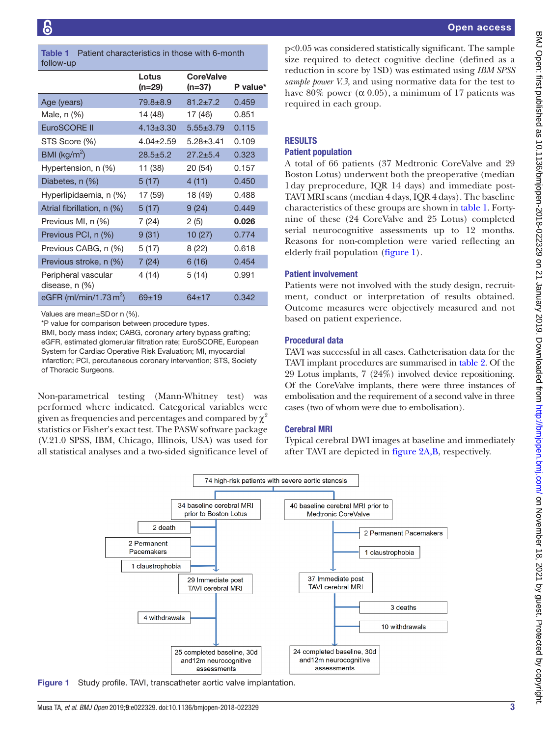<span id="page-2-0"></span>Table 1 Patient characteristics in those with 6-month follow-up

|                                       | Lotus<br>(n=29) | <b>CoreValve</b><br>(n=37) | P value* |
|---------------------------------------|-----------------|----------------------------|----------|
| Age (years)                           | 79.8±8.9        | $81.2 \pm 7.2$             | 0.459    |
| Male, n (%)                           | 14 (48)         | 17 (46)                    | 0.851    |
| EuroSCORE II                          | $4.13 \pm 3.30$ | $5.55 \pm 3.79$            | 0.115    |
| STS Score (%)                         | $4.04 \pm 2.59$ | $5.28 \pm 3.41$            | 0.109    |
| BMI ( $\text{kg/m}^2$ )               | $28.5 + 5.2$    | $27.2 \pm 5.4$             | 0.323    |
| Hypertension, n (%)                   | 11 (38)         | 20 (54)                    | 0.157    |
| Diabetes, n (%)                       | 5(17)           | 4(11)                      | 0.450    |
| Hyperlipidaemia, n (%)                | 17 (59)         | 18 (49)                    | 0.488    |
| Atrial fibrillation, n (%)            | 5 (17)          | 9(24)                      | 0.449    |
| Previous MI, n (%)                    | 7 (24)          | 2(5)                       | 0.026    |
| Previous PCI, n (%)                   | 9(31)           | 10 (27)                    | 0.774    |
| Previous CABG, n (%)                  | 5(17)           | 8 (22)                     | 0.618    |
| Previous stroke, n (%)                | 7(24)           | 6(16)                      | 0.454    |
| Peripheral vascular<br>disease, n (%) | 4 (14)          | 5(14)                      | 0.991    |
| eGFR (ml/min/1.73 $m^2$ )             | $69 + 19$       | $64 + 17$                  | 0.342    |

Values are mean±SDor n (%).

\*P value for comparison between procedure types.

BMI, body mass index; CABG, coronary artery bypass grafting; eGFR, estimated glomerular filtration rate; EuroSCORE, European System for Cardiac Operative Risk Evaluation; MI, myocardial infarction; PCI, percutaneous coronary intervention; STS, Society of Thoracic Surgeons.

Non-parametrical testing (Mann-Whitney test) was performed where indicated. Categorical variables were given as frequencies and percentages and compared by  $\chi^2$ statistics or Fisher's exact test. The PASW software package (V.21.0 SPSS, IBM, Chicago, Illinois, USA) was used for all statistical analyses and a two-sided significance level of p<0.05 was considered statistically significant. The sample size required to detect cognitive decline (defined as a reduction in score by 1SD) was estimated using *IBM SPSS sample power V.3*, and using normative data for the test to have 80% power (α 0.05), a minimum of 17 patients was required in each group.

### **RESULTS**

#### Patient population

A total of 66 patients (37 Medtronic CoreValve and 29 Boston Lotus) underwent both the preoperative (median 1day preprocedure, IQR 14 days) and immediate post-TAVI MRI scans (median 4 days, IQR 4 days). The baseline characteristics of these groups are shown in [table](#page-2-0) 1. Fortynine of these (24 CoreValve and 25 Lotus) completed serial neurocognitive assessments up to 12 months. Reasons for non-completion were varied reflecting an elderly frail population [\(figure](#page-2-1) 1).

#### Patient involvement

Patients were not involved with the study design, recruitment, conduct or interpretation of results obtained. Outcome measures were objectively measured and not based on patient experience.

#### Procedural data

TAVI was successful in all cases. Catheterisation data for the TAVI implant procedures are summarised in [table](#page-3-0) 2. Of the 29 Lotus implants, 7 (24%) involved device repositioning. Of the CoreValve implants, there were three instances of embolisation and the requirement of a second valve in three cases (two of whom were due to embolisation).

#### Cerebral MRI

Typical cerebral DWI images at baseline and immediately after TAVI are depicted in [figure](#page-3-1) 2A,B, respectively.



<span id="page-2-1"></span>Figure 1 Study profile. TAVI, transcatheter aortic valve implantation.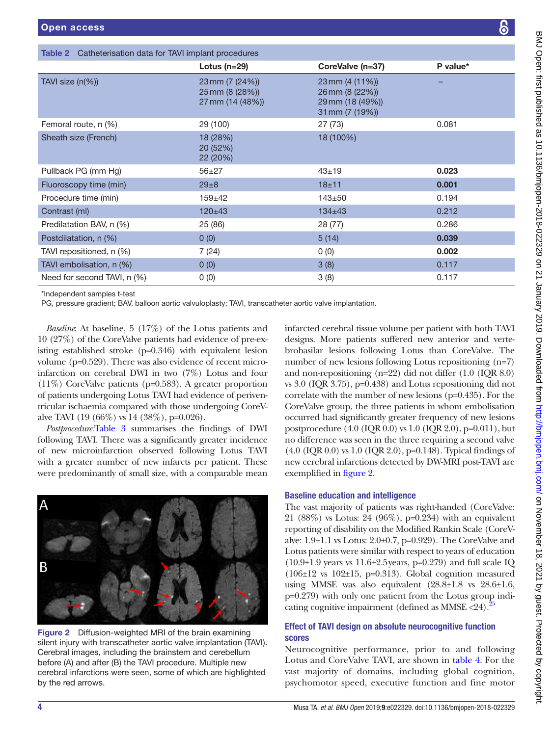<span id="page-3-0"></span>

|                             | Lotus ( $n=29$ )                                       | CoreValve (n=37)                                                                   | P value* |
|-----------------------------|--------------------------------------------------------|------------------------------------------------------------------------------------|----------|
| TAVI size $(n(\%))$         | 23 mm (7 (24%))<br>25 mm (8 (28%))<br>27 mm (14 (48%)) | $23 \text{mm}$ (4 (11%))<br>26 mm (8 (22%))<br>29 mm (18 (49%))<br>31 mm (7 (19%)) |          |
| Femoral route, n (%)        | 29 (100)                                               | 27(73)                                                                             | 0.081    |
| Sheath size (French)        | 18 (28%)<br>20 (52%)<br>22 (20%)                       | 18 (100%)                                                                          |          |
| Pullback PG (mm Hg)         | $56+27$                                                | $43 + 19$                                                                          | 0.023    |
| Fluoroscopy time (min)      | $29\pm8$                                               | $18 + 11$                                                                          | 0.001    |
| Procedure time (min)        | $159 + 42$                                             | $143 + 50$                                                                         | 0.194    |
| Contrast (ml)               | $120+43$                                               | $134 + 43$                                                                         | 0.212    |
| Predilatation BAV, n (%)    | 25 (86)                                                | 28 (77)                                                                            | 0.286    |
| Postdilatation, n (%)       | 0(0)                                                   | 5(14)                                                                              | 0.039    |
| TAVI repositioned, n (%)    | 7(24)                                                  | 0(0)                                                                               | 0.002    |
| TAVI embolisation, n (%)    | 0(0)                                                   | 3(8)                                                                               | 0.117    |
| Need for second TAVI, n (%) | 0(0)                                                   | 3(8)                                                                               | 0.117    |

\*Independent samples t-test

PG, pressure gradient; BAV, balloon aortic valvuloplasty; TAVI, transcatheter aortic valve implantation.

*Baseline*: At baseline, 5 (17%) of the Lotus patients and 10 (27%) of the CoreValve patients had evidence of pre-existing established stroke (p=0.346) with equivalent lesion volume (p=0.529). There was also evidence of recent microinfarction on cerebral DWI in two (7%) Lotus and four (11%) CoreValve patients (p=0.583). A greater proportion of patients undergoing Lotus TAVI had evidence of periventricular ischaemia compared with those undergoing CoreValve TAVI (19 (66%) vs 14 (38%), p=0.026).

*Postprocedure:*[Table](#page-4-0) 3 summarises the findings of DWI following TAVI. There was a significantly greater incidence of new microinfarction observed following Lotus TAVI with a greater number of new infarcts per patient. These were predominantly of small size, with a comparable mean



<span id="page-3-1"></span>Figure 2 Diffusion-weighted MRI of the brain examining silent injury with transcatheter aortic valve implantation (TAVI). Cerebral images, including the brainstem and cerebellum before (A) and after (B) the TAVI procedure. Multiple new cerebral infarctions were seen, some of which are highlighted by the red arrows.

infarcted cerebral tissue volume per patient with both TAVI designs. More patients suffered new anterior and vertebrobasilar lesions following Lotus than CoreValve. The number of new lesions following Lotus repositioning (n=7) and non-repositioning (n=22) did not differ (1.0 (IQR 8.0) vs 3.0 (IQR 3.75), p=0.438) and Lotus repositioning did not correlate with the number of new lesions (p=0.435). For the CoreValve group, the three patients in whom embolisation occurred had significantly greater frequency of new lesions postprocedure (4.0 (IQR 0.0) vs 1.0 (IQR 2.0), p=0.011), but no difference was seen in the three requiring a second valve (4.0 (IQR 0.0) vs 1.0 (IQR 2.0), p=0.148). Typical findings of new cerebral infarctions detected by DW-MRI post-TAVI are exemplified in [figure](#page-3-1) 2.

#### Baseline education and intelligence

The vast majority of patients was right-handed (CoreValve: 21 (88%) vs Lotus: 24 (96%), p=0.234) with an equivalent reporting of disability on the Modified Rankin Scale (CoreValve: 1.9±1.1 vs Lotus: 2.0±0.7, p=0.929). The CoreValve and Lotus patients were similar with respect to years of education  $(10.9\pm1.9 \text{ years} \text{ vs } 11.6\pm2.5 \text{ years}, \text{ p=0.279})$  and full scale IQ  $(106±12 \text{ vs } 102±15, \text{ p=0.313}).$  Global cognition measured using MMSE was also equivalent (28.8±1.8 vs 28.6±1.6, p=0.279) with only one patient from the Lotus group indicating cognitive impairment (defined as MMSE  $\langle 24 \rangle$ .

#### Effect of TAVI design on absolute neurocognitive function scores

Neurocognitive performance, prior to and following Lotus and CoreValve TAVI, are shown in [table](#page-4-1) 4. For the vast majority of domains, including global cognition, psychomotor speed, executive function and fine motor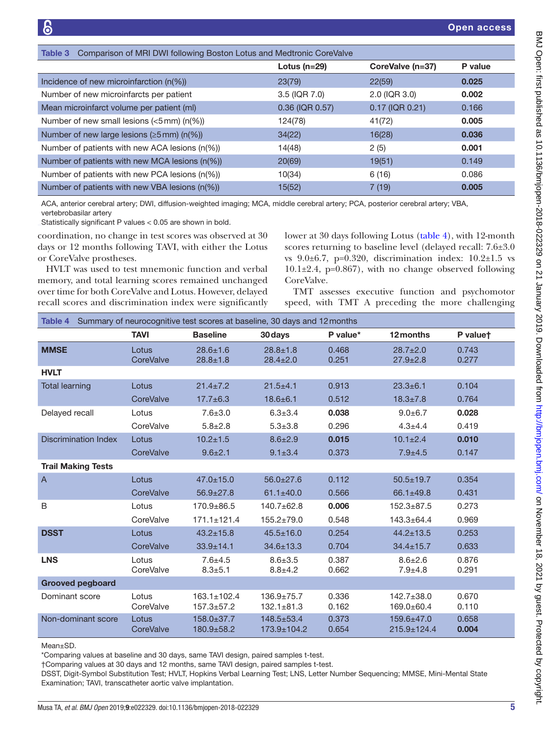<span id="page-4-0"></span>

| Comparison of MRI DWI following Boston Lotus and Medtronic CoreValve<br>Table 3 |                  |                      |         |  |  |
|---------------------------------------------------------------------------------|------------------|----------------------|---------|--|--|
|                                                                                 | Lotus ( $n=29$ ) | CoreValve (n=37)     | P value |  |  |
| Incidence of new microinfarction $(n(\%))$                                      | 23(79)           | 22(59)               | 0.025   |  |  |
| Number of new microinfarcts per patient                                         | 3.5 (IQR 7.0)    | 2.0 (IQR 3.0)        | 0.002   |  |  |
| Mean microinfarct volume per patient (ml)                                       | 0.36 (IQR 0.57)  | $0.17$ (IQR $0.21$ ) | 0.166   |  |  |
| Number of new small lesions $(<5$ mm) $(n\%)$                                   | 124(78)          | 41(72)               | 0.005   |  |  |
| Number of new large lesions ( $\geq$ 5 mm) (n(%))                               | 34(22)           | 16(28)               | 0.036   |  |  |
| Number of patients with new ACA lesions $(n\%)$                                 | 14(48)           | 2(5)                 | 0.001   |  |  |
| Number of patients with new MCA lesions (n(%))                                  | 20(69)           | 19(51)               | 0.149   |  |  |
| Number of patients with new PCA lesions (n(%))                                  | 10(34)           | 6 (16)               | 0.086   |  |  |
| Number of patients with new VBA lesions $(n\%)$                                 | 15(52)           | 7(19)                | 0.005   |  |  |

ACA, anterior cerebral artery; DWI, diffusion-weighted imaging; MCA, middle cerebral artery; PCA, posterior cerebral artery; VBA, vertebrobasilar artery

Statistically significant P values < 0.05 are shown in bold.

coordination, no change in test scores was observed at 30 days or 12 months following TAVI, with either the Lotus or CoreValve prostheses.

HVLT was used to test mnemonic function and verbal memory, and total learning scores remained unchanged over time for both CoreValve and Lotus. However, delayed recall scores and discrimination index were significantly lower at 30 days following Lotus ([table](#page-4-1) 4), with 12-month scores returning to baseline level (delayed recall: 7.6±3.0 vs 9.0±6.7, p=0.320, discrimination index: 10.2±1.5 vs  $10.1\pm2.4$ , p=0.867), with no change observed following CoreValve.

TMT assesses executive function and psychomotor speed, with TMT A preceding the more challenging

<span id="page-4-1"></span>

| Summary of neurocognitive test scores at baseline, 30 days and 12 months<br>Table 4 |                           |                                     |                                      |                |                                  |                |  |
|-------------------------------------------------------------------------------------|---------------------------|-------------------------------------|--------------------------------------|----------------|----------------------------------|----------------|--|
|                                                                                     | <b>TAVI</b>               | <b>Baseline</b>                     | 30 days                              | P value*       | 12 months                        | P valuet       |  |
| <b>MMSE</b>                                                                         | Lotus<br><b>CoreValve</b> | $28.6 \pm 1.6$<br>$28.8 \pm 1.8$    | $28.8 \pm 1.8$<br>$28.4 \pm 2.0$     | 0.468<br>0.251 | $28.7 \pm 2.0$<br>$27.9 \pm 2.8$ | 0.743<br>0.277 |  |
| <b>HVLT</b>                                                                         |                           |                                     |                                      |                |                                  |                |  |
| <b>Total learning</b>                                                               | Lotus                     | $21.4 \pm 7.2$                      | $21.5 + 4.1$                         | 0.913          | $23.3 + 6.1$                     | 0.104          |  |
|                                                                                     | <b>CoreValve</b>          | $17.7 \pm 6.3$                      | $18.6 \pm 6.1$                       | 0.512          | $18.3 \pm 7.8$                   | 0.764          |  |
| Delayed recall                                                                      | Lotus                     | $7.6 \pm 3.0$                       | $6.3 \pm 3.4$                        | 0.038          | $9.0 + 6.7$                      | 0.028          |  |
|                                                                                     | CoreValve                 | $5.8 \pm 2.8$                       | $5.3 \pm 3.8$                        | 0.296          | $4.3 + 4.4$                      | 0.419          |  |
| <b>Discrimination Index</b>                                                         | Lotus                     | $10.2 + 1.5$                        | $8.6 \pm 2.9$                        | 0.015          | $10.1 \pm 2.4$                   | 0.010          |  |
|                                                                                     | <b>CoreValve</b>          | $9.6 \pm 2.1$                       | $9.1 \pm 3.4$                        | 0.373          | $7.9 + 4.5$                      | 0.147          |  |
| <b>Trail Making Tests</b>                                                           |                           |                                     |                                      |                |                                  |                |  |
| $\mathsf{A}$                                                                        | Lotus                     | $47.0 \pm 15.0$                     | $56.0 \pm 27.6$                      | 0.112          | $50.5 \pm 19.7$                  | 0.354          |  |
|                                                                                     | <b>CoreValve</b>          | $56.9 \pm 27.8$                     | $61.1 \pm 40.0$                      | 0.566          | $66.1 \pm 49.8$                  | 0.431          |  |
| B                                                                                   | Lotus                     | 170.9±86.5                          | 140.7±62.8                           | 0.006          | $152.3 \pm 87.5$                 | 0.273          |  |
|                                                                                     | CoreValve                 | $171.1 \pm 121.4$                   | $155.2 + 79.0$                       | 0.548          | $143.3 + 64.4$                   | 0.969          |  |
| <b>DSST</b>                                                                         | Lotus                     | $43.2 \pm 15.8$                     | $45.5 \pm 16.0$                      | 0.254          | $44.2 \pm 13.5$                  | 0.253          |  |
|                                                                                     | <b>CoreValve</b>          | $33.9 + 14.1$                       | $34.6 \pm 13.3$                      | 0.704          | $34.4 \pm 15.7$                  | 0.633          |  |
| <b>LNS</b>                                                                          | Lotus<br><b>CoreValve</b> | $7.6 + 4.5$<br>$8.3 + 5.1$          | $8.6 \pm 3.5$<br>$8.8 + 4.2$         | 0.387<br>0.662 | $8.6 \pm 2.6$<br>$7.9 + 4.8$     | 0.876<br>0.291 |  |
| <b>Grooved pegboard</b>                                                             |                           |                                     |                                      |                |                                  |                |  |
| Dominant score                                                                      | Lotus<br>CoreValve        | $163.1 \pm 102.4$<br>$157.3 + 57.2$ | $136.9 \pm 75.7$<br>$132.1 \pm 81.3$ | 0.336<br>0.162 | $142.7 \pm 38.0$<br>169.0±60.4   | 0.670<br>0.110 |  |
| Non-dominant score                                                                  | Lotus<br><b>CoreValve</b> | $158.0 \pm 37.7$<br>$180.9 + 58.2$  | $148.5 + 53.4$<br>$173.9 \pm 104.2$  | 0.373<br>0.654 | 159.6±47.0<br>$215.9 \pm 124.4$  | 0.658<br>0.004 |  |

Mean±SD.

\*Comparing values at baseline and 30 days, same TAVI design, paired samples t-test.

†Comparing values at 30 days and 12 months, same TAVI design, paired samples t-test.

DSST, Digit-Symbol Substitution Test; HVLT, Hopkins Verbal Learning Test; LNS, Letter Number Sequencing; MMSE, Mini-Mental State Examination; TAVI, transcatheter aortic valve implantation.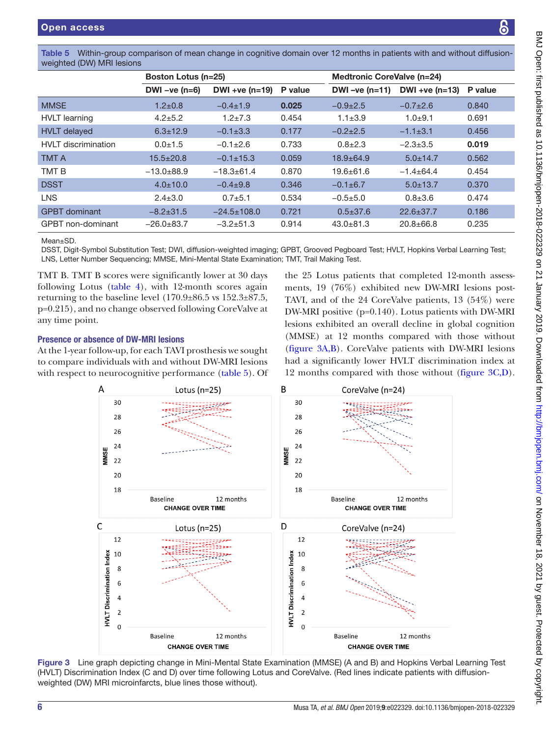<span id="page-5-0"></span>Table 5 Within-group comparison of mean change in cognitive domain over 12 months in patients with and without diffusionweighted (DW) MRI lesions

|                      | <b>Boston Lotus (n=25)</b> |                   |         | Medtronic CoreValve (n=24) |                   |         |
|----------------------|----------------------------|-------------------|---------|----------------------------|-------------------|---------|
|                      | $DWI - ve (n=6)$           | DWI + $ve$ (n=19) | P value | DWI-ve $(n=11)$            | DWI + $ve$ (n=13) | P value |
| <b>MMSE</b>          | $1.2 \pm 0.8$              | $-0.4 \pm 1.9$    | 0.025   | $-0.9+2.5$                 | $-0.7+2.6$        | 0.840   |
| <b>HVLT</b> learning | $4.2 + 5.2$                | $1.2 + 7.3$       | 0.454   | $1.1 \pm 3.9$              | $1.0 + 9.1$       | 0.691   |
| <b>HVLT</b> delayed  | $6.3 \pm 12.9$             | $-0.1 \pm 3.3$    | 0.177   | $-0.2+2.5$                 | $-1.1 \pm 3.1$    | 0.456   |
| HVI T discrimination | $0.0 + 1.5$                | $-0.1 \pm 2.6$    | 0.733   | $0.8{\pm}2.3$              | $-2.3 \pm 3.5$    | 0.019   |
| <b>TMT A</b>         | $15.5 \pm 20.8$            | $-0.1 \pm 15.3$   | 0.059   | $18.9 + 64.9$              | $5.0 \pm 14.7$    | 0.562   |
| TMT <sub>B</sub>     | $-13.0+88.9$               | $-18.3+61.4$      | 0.870   | $19.6 + 61.6$              | $-1.4+64.4$       | 0.454   |
| <b>DSST</b>          | $4.0 \pm 10.0$             | $-0.4+9.8$        | 0.346   | $-0.1\pm 6.7$              | $5.0 \pm 13.7$    | 0.370   |
| <b>LNS</b>           | $2.4 \pm 3.0$              | $0.7 + 5.1$       | 0.534   | $-0.5+5.0$                 | $0.8 \pm 3.6$     | 0.474   |
| <b>GPBT</b> dominant | $-8.2 \pm 31.5$            | $-24.5 \pm 108.0$ | 0.721   | $0.5 \pm 37.6$             | $22.6 \pm 37.7$   | 0.186   |
| GPBT non-dominant    | $-26.0+83.7$               | $-3.2+51.3$       | 0.914   | $43.0 + 81.3$              | $20.8 + 66.8$     | 0.235   |

Mean±SD.

DSST, Digit-Symbol Substitution Test; DWI, diffusion-weighted imaging; GPBT, Grooved Pegboard Test; HVLT, Hopkins Verbal Learning Test; LNS, Letter Number Sequencing; MMSE, Mini-Mental State Examination; TMT, Trail Making Test.

TMT B. TMT B scores were significantly lower at 30 days following Lotus ([table](#page-4-1) 4), with 12-month scores again returning to the baseline level  $(170.9\pm86.5 \text{ vs } 152.3\pm87.5,$ p=0.215), and no change observed following CoreValve at any time point.

#### Presence or absence of DW-MRI lesions

At the 1-year follow-up, for each TAVI prosthesis we sought to compare individuals with and without DW-MRI lesions with respect to neurocognitive performance [\(table](#page-5-0) 5). Of

the 25 Lotus patients that completed 12-month assessments, 19 (76%) exhibited new DW-MRI lesions post-TAVI, and of the 24 CoreValve patients, 13 (54%) were DW-MRI positive (p=0.140). Lotus patients with DW-MRI lesions exhibited an overall decline in global cognition (MMSE) at 12 months compared with those without [\(figure](#page-5-1) 3A,B). CoreValve patients with DW-MRI lesions had a significantly lower HVLT discrimination index at 12 months compared with those without [\(figure](#page-5-1) 3C,D).



<span id="page-5-1"></span>Figure 3 Line graph depicting change in Mini-Mental State Examination (MMSE) (A and B) and Hopkins Verbal Learning Test (HVLT) Discrimination Index (C and D) over time following Lotus and CoreValve. (Red lines indicate patients with diffusionweighted (DW) MRI microinfarcts, blue lines those without).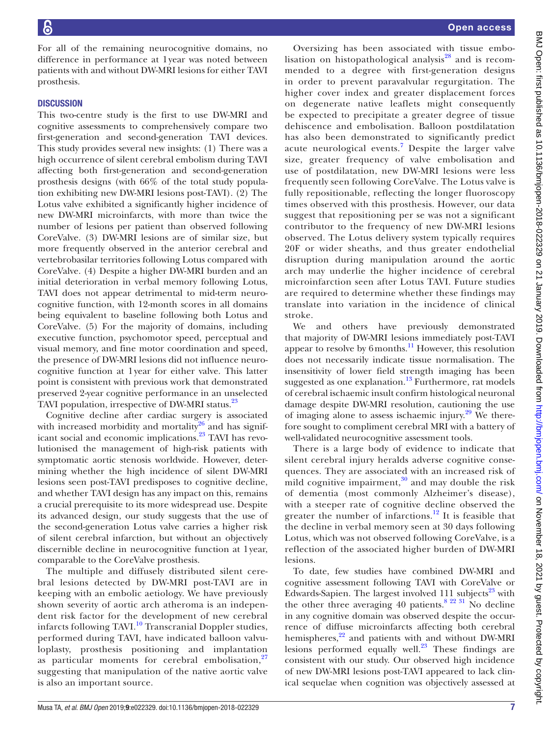For all of the remaining neurocognitive domains, no difference in performance at 1year was noted between patients with and without DW-MRI lesions for either TAVI prosthesis.

#### **DISCUSSION**

This two-centre study is the first to use DW-MRI and cognitive assessments to comprehensively compare two first-generation and second-generation TAVI devices. This study provides several new insights: (1) There was a high occurrence of silent cerebral embolism during TAVI affecting both first-generation and second-generation prosthesis designs (with 66% of the total study population exhibiting new DW-MRI lesions post-TAVI). (2) The Lotus valve exhibited a significantly higher incidence of new DW-MRI microinfarcts, with more than twice the number of lesions per patient than observed following CoreValve. (3) DW-MRI lesions are of similar size, but more frequently observed in the anterior cerebral and vertebrobasilar territories following Lotus compared with CoreValve. (4) Despite a higher DW-MRI burden and an initial deterioration in verbal memory following Lotus, TAVI does not appear detrimental to mid-term neurocognitive function, with 12-month scores in all domains being equivalent to baseline following both Lotus and CoreValve. (5) For the majority of domains, including executive function, psychomotor speed, perceptual and visual memory, and fine motor coordination and speed, the presence of DW-MRI lesions did not influence neurocognitive function at 1year for either valve. This latter point is consistent with previous work that demonstrated preserved 2-year cognitive performance in an unselected TAVI population, irrespective of DW-MRI status.<sup>23</sup>

Cognitive decline after cardiac surgery is associated with increased morbidity and mortality $26$  and has significant social and economic implications.<sup>23</sup> TAVI has revolutionised the management of high-risk patients with symptomatic aortic stenosis worldwide. However, determining whether the high incidence of silent DW-MRI lesions seen post-TAVI predisposes to cognitive decline, and whether TAVI design has any impact on this, remains a crucial prerequisite to its more widespread use. Despite its advanced design, our study suggests that the use of the second-generation Lotus valve carries a higher risk of silent cerebral infarction, but without an objectively discernible decline in neurocognitive function at 1year, comparable to the CoreValve prosthesis.

The multiple and diffusely distributed silent cerebral lesions detected by DW-MRI post-TAVI are in keeping with an embolic aetiology. We have previously shown severity of aortic arch atheroma is an independent risk factor for the development of new cerebral infarcts following TAVI.<sup>10</sup> Transcranial Doppler studies, performed during TAVI, have indicated balloon valvuloplasty, prosthesis positioning and implantation as particular moments for cerebral embolisation, $27$ suggesting that manipulation of the native aortic valve is also an important source.

Oversizing has been associated with tissue embolisation on histopathological analysis $^{28}$  $^{28}$  $^{28}$  and is recommended to a degree with first-generation designs in order to prevent paravalvular regurgitation. The higher cover index and greater displacement forces on degenerate native leaflets might consequently be expected to precipitate a greater degree of tissue dehiscence and embolisation. Balloon postdilatation has also been demonstrated to significantly predict acute neurological events.<sup>[7](#page-8-6)</sup> Despite the larger valve size, greater frequency of valve embolisation and use of postdilatation, new DW-MRI lesions were less frequently seen following CoreValve. The Lotus valve is fully repositionable, reflecting the longer fluoroscopy times observed with this prosthesis. However, our data suggest that repositioning per se was not a significant contributor to the frequency of new DW-MRI lesions observed. The Lotus delivery system typically requires 20F or wider sheaths, and thus greater endothelial disruption during manipulation around the aortic arch may underlie the higher incidence of cerebral microinfarction seen after Lotus TAVI. Future studies are required to determine whether these findings may translate into variation in the incidence of clinical stroke.

We and others have previously demonstrated that majority of DW-MRI lesions immediately post-TAVI appear to resolve by  $6$  months.<sup>11</sup> However, this resolution does not necessarily indicate tissue normalisation. The insensitivity of lower field strength imaging has been suggested as one explanation.<sup>13</sup> Furthermore, rat models of cerebral ischaemic insult confirm histological neuronal damage despite DW-MRI resolution, cautioning the use of imaging alone to assess ischaemic injury. $29$  We therefore sought to compliment cerebral MRI with a battery of well-validated neurocognitive assessment tools.

There is a large body of evidence to indicate that silent cerebral injury heralds adverse cognitive consequences. They are associated with an increased risk of mild cognitive impairment, $30$  and may double the risk of dementia (most commonly Alzheimer's disease), with a steeper rate of cognitive decline observed the greater the number of infarctions.<sup>[12](#page-8-9)</sup> It is feasible that the decline in verbal memory seen at 30 days following Lotus, which was not observed following CoreValve, is a reflection of the associated higher burden of DW-MRI lesions.

To date, few studies have combined DW-MRI and cognitive assessment following TAVI with CoreValve or Edwards-Sapien. The largest involved 111 subjects<sup>23</sup> with the other three averaging 40 patients.<sup>8 22 31</sup> No decline in any cognitive domain was observed despite the occurrence of diffuse microinfarcts affecting both cerebral hemispheres,<sup>22</sup> and patients with and without DW-MRI lesions performed equally well. $^{23}$  $^{23}$  $^{23}$  These findings are consistent with our study. Our observed high incidence of new DW-MRI lesions post-TAVI appeared to lack clinical sequelae when cognition was objectively assessed at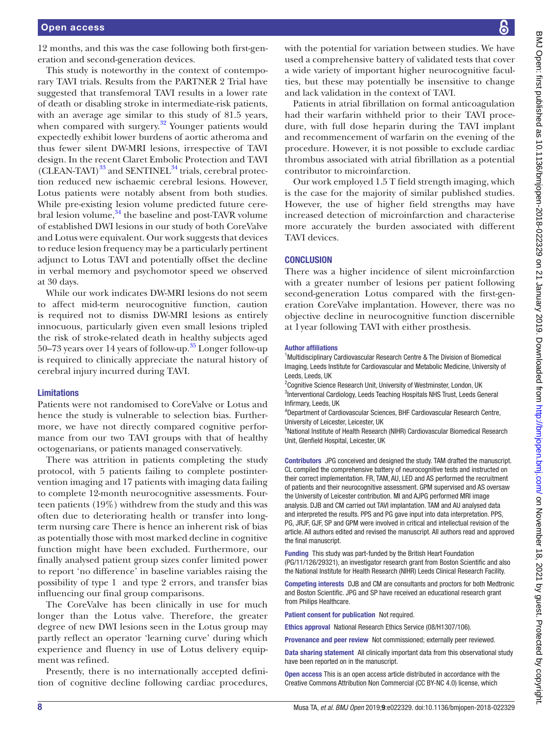12 months, and this was the case following both first-generation and second-generation devices.

This study is noteworthy in the context of contemporary TAVI trials. Results from the PARTNER 2 Trial have suggested that transfemoral TAVI results in a lower rate of death or disabling stroke in intermediate-risk patients, with an average age similar to this study of 81.5 years, when compared with surgery.<sup>32</sup> Younger patients would expectedly exhibit lower burdens of aortic atheroma and thus fewer silent DW-MRI lesions, irrespective of TAVI design. In the recent Claret Embolic Protection and TAVI  $(CLEAN-TAVI)<sup>33</sup>$  $(CLEAN-TAVI)<sup>33</sup>$  $(CLEAN-TAVI)<sup>33</sup>$  and SENTINEL<sup>34</sup> trials, cerebral protection reduced new ischaemic cerebral lesions. However, Lotus patients were notably absent from both studies. While pre-existing lesion volume predicted future cerebral lesion volume, $34$  the baseline and post-TAVR volume of established DWI lesions in our study of both CoreValve and Lotus were equivalent. Our work suggests that devices to reduce lesion frequency may be a particularly pertinent adjunct to Lotus TAVI and potentially offset the decline in verbal memory and psychomotor speed we observed at 30 days.

While our work indicates DW-MRI lesions do not seem to affect mid-term neurocognitive function, caution is required not to dismiss DW-MRI lesions as entirely innocuous, particularly given even small lesions tripled the risk of stroke-related death in healthy subjects aged 50–73 years over 14 years of follow-up.<sup>[35](#page-8-29)</sup> Longer follow-up is required to clinically appreciate the natural history of cerebral injury incurred during TAVI.

#### Limitations

Patients were not randomised to CoreValve or Lotus and hence the study is vulnerable to selection bias. Furthermore, we have not directly compared cognitive performance from our two TAVI groups with that of healthy octogenarians, or patients managed conservatively.

There was attrition in patients completing the study protocol, with 5 patients failing to complete postintervention imaging and 17 patients with imaging data failing to complete 12-month neurocognitive assessments. Fourteen patients (19%) withdrew from the study and this was often due to deteriorating health or transfer into longterm nursing care There is hence an inherent risk of bias as potentially those with most marked decline in cognitive function might have been excluded. Furthermore, our finally analysed patient group sizes confer limited power to report 'no difference' in baseline variables raising the possibility of type 1 and type 2 errors, and transfer bias influencing our final group comparisons.

The CoreValve has been clinically in use for much longer than the Lotus valve. Therefore, the greater degree of new DWI lesions seen in the Lotus group may partly reflect an operator 'learning curve' during which experience and fluency in use of Lotus delivery equipment was refined.

Presently, there is no internationally accepted definition of cognitive decline following cardiac procedures,

with the potential for variation between studies. We have used a comprehensive battery of validated tests that cover a wide variety of important higher neurocognitive faculties, but these may potentially be insensitive to change and lack validation in the context of TAVI.

Patients in atrial fibrillation on formal anticoagulation had their warfarin withheld prior to their TAVI procedure, with full dose heparin during the TAVI implant and recommencement of warfarin on the evening of the procedure. However, it is not possible to exclude cardiac thrombus associated with atrial fibrillation as a potential contributor to microinfarction.

Our work employed 1.5 T field strength imaging, which is the case for the majority of similar published studies. However, the use of higher field strengths may have increased detection of microinfarction and characterise more accurately the burden associated with different TAVI devices.

#### **CONCLUSION**

There was a higher incidence of silent microinfarction with a greater number of lesions per patient following second-generation Lotus compared with the first-generation CoreValve implantation. However, there was no objective decline in neurocognitive function discernible at 1year following TAVI with either prosthesis.

#### Author affiliations

<sup>1</sup>Multidisciplinary Cardiovascular Research Centre & The Division of Biomedical Imaging, Leeds Institute for Cardiovascular and Metabolic Medicine, University of Leeds, Leeds, UK

<sup>2</sup>Cognitive Science Research Unit, University of Westminster, London, UK <sup>3</sup>Interventional Cardiology, Leeds Teaching Hospitals NHS Trust, Leeds General Infirmary, Leeds, UK

4 Department of Cardiovascular Sciences, BHF Cardiovascular Research Centre, University of Leicester, Leicester, UK

<sup>5</sup>National Institute of Health Research (NIHR) Cardiovascular Biomedical Research Unit, Glenfield Hospital, Leicester, UK

Contributors JPG conceived and designed the study. TAM drafted the manuscript. CL compiled the comprehensive battery of neurocognitive tests and instructed on their correct implementation. FR, TAM, AU, LED and AS performed the recruitment of patients and their neurocognitive assessment. GPM supervised and AS oversaw the University of Leicester contribution. MI and AJPG performed MRI image analysis. DJB and CM carried out TAVI implantation. TAM and AU analysed data and interpreted the results. PPS and PG gave input into data interpretation. PPS, PG, JRJF, GJF, SP and GPM were involved in critical and intellectual revision of the article. All authors edited and revised the manuscript. All authors read and approved the final manuscript.

Funding This study was part-funded by the British Heart Foundation (PG/11/126/29321), an investigator research grant from Boston Scientific and also the National Institute for Health Research (NIHR) Leeds Clinical Research Facility.

Competing interests DJB and CM are consultants and proctors for both Medtronic and Boston Scientific. JPG and SP have received an educational research grant from Philips Healthcare.

Patient consent for publication Not required.

Ethics approval National Research Ethics Service (08/H1307/106).

Provenance and peer review Not commissioned; externally peer reviewed.

Data sharing statement All clinically important data from this observational study have been reported on in the manuscript.

Open access This is an open access article distributed in accordance with the Creative Commons Attribution Non Commercial (CC BY-NC 4.0) license, which